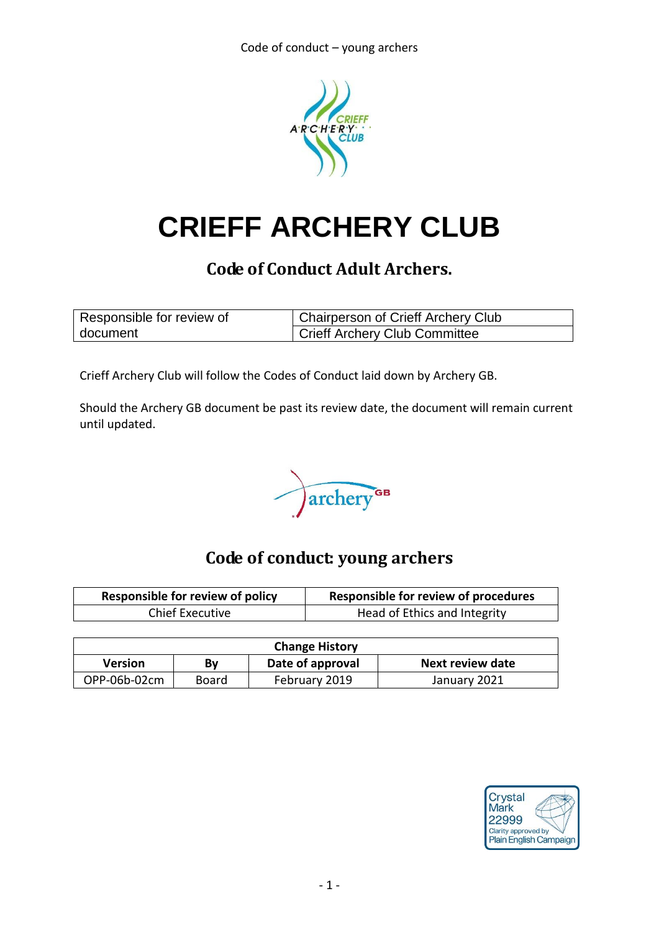

# **CRIEFF ARCHERY CLUB**

## **Code of Conduct Adult Archers.**

| Responsible for review of | <b>Chairperson of Crieff Archery Club</b> |
|---------------------------|-------------------------------------------|
| document                  | <b>Crieff Archery Club Committee</b>      |

Crieff Archery Club will follow the Codes of Conduct laid down by Archery GB.

Should the Archery GB document be past its review date, the document will remain current until updated.



# **Code of conduct: young archers**

| <b>Responsible for review of policy</b> | <b>Responsible for review of procedures</b> |  |
|-----------------------------------------|---------------------------------------------|--|
| <b>Chief Executive</b>                  | Head of Ethics and Integrity                |  |

| <b>Change History</b> |       |                  |                  |  |
|-----------------------|-------|------------------|------------------|--|
| <b>Version</b>        | Bv    | Date of approval | Next review date |  |
| OPP-06b-02cm          | Board | February 2019    | January 2021     |  |

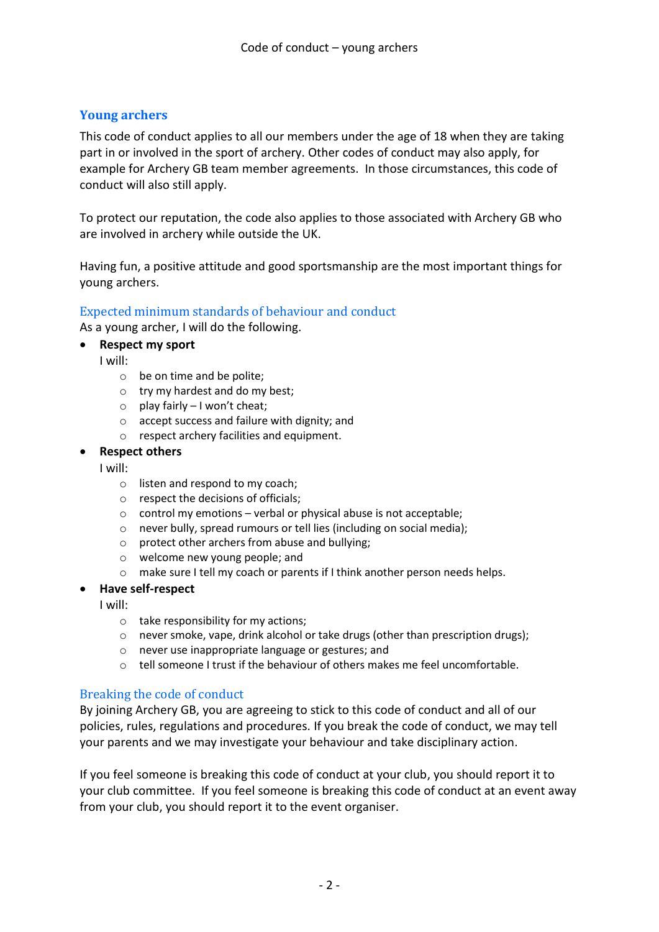## **Young archers**

This code of conduct applies to all our members under the age of 18 when they are taking part in or involved in the sport of archery. Other codes of conduct may also apply, for example for Archery GB team member agreements. In those circumstances, this code of conduct will also still apply.

To protect our reputation, the code also applies to those associated with Archery GB who are involved in archery while outside the UK.

Having fun, a positive attitude and good sportsmanship are the most important things for young archers.

### Expected minimum standards of behaviour and conduct

As a young archer, I will do the following.

- **Respect my sport**
	- I will:
		- o be on time and be polite;
		- o try my hardest and do my best;
		- $\circ$  play fairly I won't cheat;
		- o accept success and failure with dignity; and
		- o respect archery facilities and equipment.

#### **Respect others**

I will:

- o listen and respond to my coach;
- o respect the decisions of officials;
- o control my emotions verbal or physical abuse is not acceptable;
- o never bully, spread rumours or tell lies (including on social media);
- o protect other archers from abuse and bullying;
- o welcome new young people; and
- o make sure I tell my coach or parents if I think another person needs helps.

#### **Have self-respect**

I will:

- o take responsibility for my actions;
- o never smoke, vape, drink alcohol or take drugs (other than prescription drugs);
- o never use inappropriate language or gestures; and
- $\circ$  tell someone I trust if the behaviour of others makes me feel uncomfortable.

### Breaking the code of conduct

By joining Archery GB, you are agreeing to stick to this code of conduct and all of our policies, rules, regulations and procedures. If you break the code of conduct, we may tell your parents and we may investigate your behaviour and take disciplinary action.

If you feel someone is breaking this code of conduct at your club, you should report it to your club committee. If you feel someone is breaking this code of conduct at an event away from your club, you should report it to the event organiser.